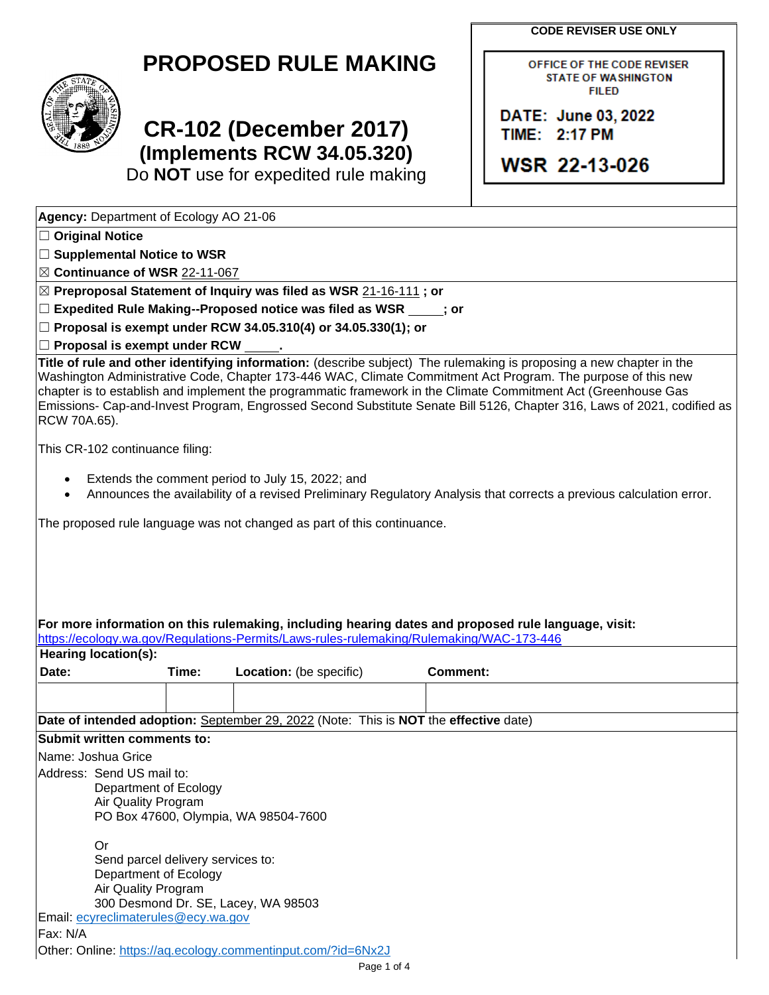**CODE REVISER USE ONLY**

DATE: June 03, 2022 TIME: 2:17 PM

**WSR 22-13-026** 

OFFICE OF THE CODE REVISER **STATE OF WASHINGTON FILED** 



## **CR-102 (December 2017) (Implements RCW 34.05.320)**

Do **NOT** use for expedited rule making

**Agency:** Department of Ecology AO 21-06

- ☐ **Original Notice**
- ☐ **Supplemental Notice to WSR**

☒ **Continuance of WSR** 22-11-067

☒ **Preproposal Statement of Inquiry was filed as WSR** 21-16-111 **; or**

☐ **Expedited Rule Making--Proposed notice was filed as WSR ; or**

☐ **Proposal is exempt under RCW 34.05.310(4) or 34.05.330(1); or**

☐ **Proposal is exempt under RCW .**

**Title of rule and other identifying information:** (describe subject) The rulemaking is proposing a new chapter in the Washington Administrative Code, Chapter 173-446 WAC, Climate Commitment Act Program. The purpose of this new chapter is to establish and implement the programmatic framework in the Climate Commitment Act (Greenhouse Gas Emissions- Cap-and-Invest Program, Engrossed Second Substitute Senate Bill 5126, Chapter 316, Laws of 2021, codified as RCW 70A.65).

This CR-102 continuance filing:

- Extends the comment period to July 15, 2022; and
- Announces the availability of a revised Preliminary Regulatory Analysis that corrects a previous calculation error.

|  | The proposed rule language was not changed as part of this continuance. |  |
|--|-------------------------------------------------------------------------|--|
|  |                                                                         |  |

| https://ecology.wa.gov/Regulations-Permits/Laws-rules-rulemaking/Rulemaking/WAC-173-446<br>Hearing location(s): |                                     |                                                                                      |          |  |  |  |
|-----------------------------------------------------------------------------------------------------------------|-------------------------------------|--------------------------------------------------------------------------------------|----------|--|--|--|
| Date:                                                                                                           | Time:                               | <b>Location:</b> (be specific)                                                       | Comment: |  |  |  |
|                                                                                                                 |                                     |                                                                                      |          |  |  |  |
|                                                                                                                 |                                     | Date of intended adoption: September 29, 2022 (Note: This is NOT the effective date) |          |  |  |  |
| Submit written comments to:                                                                                     |                                     |                                                                                      |          |  |  |  |
| Name: Joshua Grice                                                                                              |                                     |                                                                                      |          |  |  |  |
| lAddress: Send US mail to:                                                                                      |                                     |                                                                                      |          |  |  |  |
|                                                                                                                 | Department of Ecology               |                                                                                      |          |  |  |  |
|                                                                                                                 | Air Quality Program                 |                                                                                      |          |  |  |  |
|                                                                                                                 |                                     | PO Box 47600, Olympia, WA 98504-7600                                                 |          |  |  |  |
| <b>Or</b>                                                                                                       |                                     |                                                                                      |          |  |  |  |
|                                                                                                                 | Send parcel delivery services to:   |                                                                                      |          |  |  |  |
|                                                                                                                 | Department of Ecology               |                                                                                      |          |  |  |  |
|                                                                                                                 | Air Quality Program                 |                                                                                      |          |  |  |  |
|                                                                                                                 |                                     | 300 Desmond Dr. SE, Lacey, WA 98503                                                  |          |  |  |  |
|                                                                                                                 | Email: ecyreclimaterules@ecy.wa.gov |                                                                                      |          |  |  |  |
| Fax: N/A                                                                                                        |                                     |                                                                                      |          |  |  |  |
|                                                                                                                 |                                     | Other: Online: https://aq.ecology.commentinput.com/?id=6Nx2J                         |          |  |  |  |
|                                                                                                                 |                                     | $P$ ane 1 of $\Lambda$                                                               |          |  |  |  |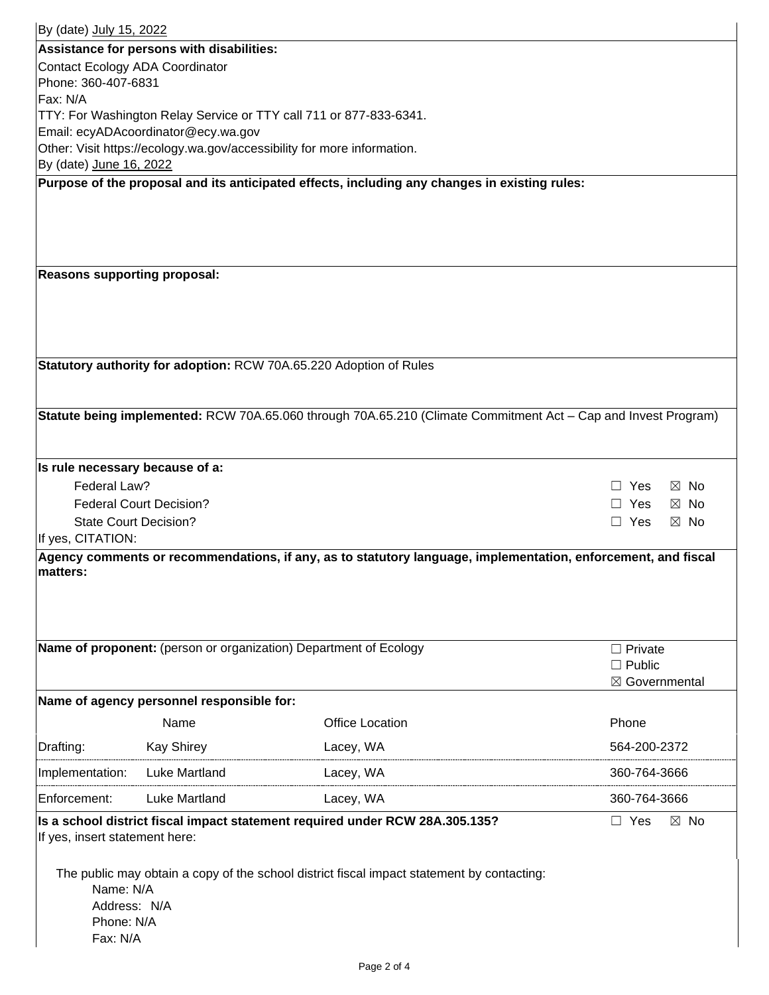| By (date) July 15, 2022                                                                    |                                           |                                                                                                                |                              |  |  |
|--------------------------------------------------------------------------------------------|-------------------------------------------|----------------------------------------------------------------------------------------------------------------|------------------------------|--|--|
| Assistance for persons with disabilities:                                                  |                                           |                                                                                                                |                              |  |  |
| Contact Ecology ADA Coordinator                                                            |                                           |                                                                                                                |                              |  |  |
| Phone: 360-407-6831                                                                        |                                           |                                                                                                                |                              |  |  |
| Fax: N/A                                                                                   |                                           |                                                                                                                |                              |  |  |
|                                                                                            |                                           | TTY: For Washington Relay Service or TTY call 711 or 877-833-6341.                                             |                              |  |  |
|                                                                                            | Email: ecyADAcoordinator@ecy.wa.gov       |                                                                                                                |                              |  |  |
|                                                                                            |                                           | Other: Visit https://ecology.wa.gov/accessibility for more information.                                        |                              |  |  |
| By (date) June 16, 2022                                                                    |                                           |                                                                                                                |                              |  |  |
|                                                                                            |                                           | Purpose of the proposal and its anticipated effects, including any changes in existing rules:                  |                              |  |  |
|                                                                                            |                                           |                                                                                                                |                              |  |  |
|                                                                                            |                                           |                                                                                                                |                              |  |  |
|                                                                                            |                                           |                                                                                                                |                              |  |  |
|                                                                                            |                                           |                                                                                                                |                              |  |  |
| <b>Reasons supporting proposal:</b>                                                        |                                           |                                                                                                                |                              |  |  |
|                                                                                            |                                           |                                                                                                                |                              |  |  |
|                                                                                            |                                           |                                                                                                                |                              |  |  |
|                                                                                            |                                           |                                                                                                                |                              |  |  |
|                                                                                            |                                           |                                                                                                                |                              |  |  |
|                                                                                            |                                           | Statutory authority for adoption: RCW 70A.65.220 Adoption of Rules                                             |                              |  |  |
|                                                                                            |                                           |                                                                                                                |                              |  |  |
|                                                                                            |                                           |                                                                                                                |                              |  |  |
|                                                                                            |                                           | Statute being implemented: RCW 70A.65.060 through 70A.65.210 (Climate Commitment Act - Cap and Invest Program) |                              |  |  |
|                                                                                            |                                           |                                                                                                                |                              |  |  |
|                                                                                            |                                           |                                                                                                                |                              |  |  |
| Is rule necessary because of a:                                                            |                                           |                                                                                                                |                              |  |  |
| Federal Law?                                                                               |                                           |                                                                                                                | $\Box$ Yes<br>$\boxtimes$ No |  |  |
|                                                                                            | <b>Federal Court Decision?</b>            |                                                                                                                | $\Box$ Yes<br>$\boxtimes$ No |  |  |
| <b>State Court Decision?</b>                                                               |                                           |                                                                                                                | $\Box$ Yes<br>$\boxtimes$ No |  |  |
| If yes, CITATION:                                                                          |                                           |                                                                                                                |                              |  |  |
|                                                                                            |                                           | Agency comments or recommendations, if any, as to statutory language, implementation, enforcement, and fiscal  |                              |  |  |
| matters:                                                                                   |                                           |                                                                                                                |                              |  |  |
|                                                                                            |                                           |                                                                                                                |                              |  |  |
|                                                                                            |                                           |                                                                                                                |                              |  |  |
|                                                                                            |                                           |                                                                                                                |                              |  |  |
|                                                                                            |                                           | Name of proponent: (person or organization) Department of Ecology                                              | $\Box$ Private               |  |  |
|                                                                                            |                                           |                                                                                                                | $\Box$ Public                |  |  |
|                                                                                            |                                           |                                                                                                                | ⊠ Governmental               |  |  |
|                                                                                            | Name of agency personnel responsible for: |                                                                                                                |                              |  |  |
|                                                                                            | Name                                      | <b>Office Location</b>                                                                                         | Phone                        |  |  |
|                                                                                            |                                           |                                                                                                                |                              |  |  |
| Drafting:                                                                                  | <b>Kay Shirey</b>                         | Lacey, WA                                                                                                      | 564-200-2372                 |  |  |
| Implementation:                                                                            | <b>Luke Martland</b>                      | Lacey, WA                                                                                                      | 360-764-3666                 |  |  |
| Enforcement:                                                                               | <b>Luke Martland</b>                      | Lacey, WA                                                                                                      | 360-764-3666                 |  |  |
|                                                                                            |                                           | Is a school district fiscal impact statement required under RCW 28A.305.135?                                   | $\Box$ Yes<br>$\boxtimes$ No |  |  |
| If yes, insert statement here:                                                             |                                           |                                                                                                                |                              |  |  |
|                                                                                            |                                           |                                                                                                                |                              |  |  |
| The public may obtain a copy of the school district fiscal impact statement by contacting: |                                           |                                                                                                                |                              |  |  |
| Name: N/A                                                                                  |                                           |                                                                                                                |                              |  |  |
| Address: N/A                                                                               |                                           |                                                                                                                |                              |  |  |
|                                                                                            | Phone: N/A                                |                                                                                                                |                              |  |  |
| Fax: N/A                                                                                   |                                           |                                                                                                                |                              |  |  |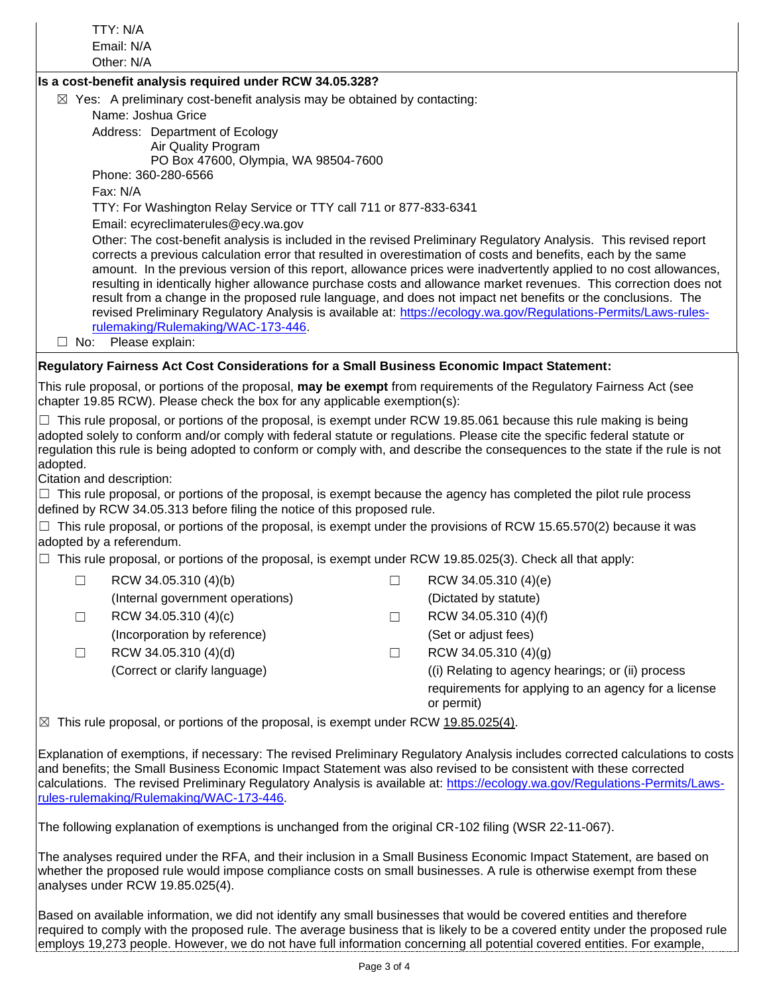|               | TTY: N/A                                                                                                                                                                                                                                                              |        |                                                                                                                                                                                                                                                                                                                                                                                                                                                                                                                                                                                                                                                                                                                |  |  |  |
|---------------|-----------------------------------------------------------------------------------------------------------------------------------------------------------------------------------------------------------------------------------------------------------------------|--------|----------------------------------------------------------------------------------------------------------------------------------------------------------------------------------------------------------------------------------------------------------------------------------------------------------------------------------------------------------------------------------------------------------------------------------------------------------------------------------------------------------------------------------------------------------------------------------------------------------------------------------------------------------------------------------------------------------------|--|--|--|
|               | Email: N/A<br>Other: N/A                                                                                                                                                                                                                                              |        |                                                                                                                                                                                                                                                                                                                                                                                                                                                                                                                                                                                                                                                                                                                |  |  |  |
|               | Is a cost-benefit analysis required under RCW 34.05.328?                                                                                                                                                                                                              |        |                                                                                                                                                                                                                                                                                                                                                                                                                                                                                                                                                                                                                                                                                                                |  |  |  |
|               | $\boxtimes$ Yes: A preliminary cost-benefit analysis may be obtained by contacting:                                                                                                                                                                                   |        |                                                                                                                                                                                                                                                                                                                                                                                                                                                                                                                                                                                                                                                                                                                |  |  |  |
|               | Name: Joshua Grice                                                                                                                                                                                                                                                    |        |                                                                                                                                                                                                                                                                                                                                                                                                                                                                                                                                                                                                                                                                                                                |  |  |  |
|               | Address: Department of Ecology                                                                                                                                                                                                                                        |        |                                                                                                                                                                                                                                                                                                                                                                                                                                                                                                                                                                                                                                                                                                                |  |  |  |
|               | Air Quality Program                                                                                                                                                                                                                                                   |        |                                                                                                                                                                                                                                                                                                                                                                                                                                                                                                                                                                                                                                                                                                                |  |  |  |
|               | PO Box 47600, Olympia, WA 98504-7600                                                                                                                                                                                                                                  |        |                                                                                                                                                                                                                                                                                                                                                                                                                                                                                                                                                                                                                                                                                                                |  |  |  |
|               | Phone: 360-280-6566                                                                                                                                                                                                                                                   |        |                                                                                                                                                                                                                                                                                                                                                                                                                                                                                                                                                                                                                                                                                                                |  |  |  |
|               | Fax: N/A                                                                                                                                                                                                                                                              |        |                                                                                                                                                                                                                                                                                                                                                                                                                                                                                                                                                                                                                                                                                                                |  |  |  |
|               | TTY: For Washington Relay Service or TTY call 711 or 877-833-6341                                                                                                                                                                                                     |        |                                                                                                                                                                                                                                                                                                                                                                                                                                                                                                                                                                                                                                                                                                                |  |  |  |
|               | Email: ecyreclimaterules@ecy.wa.gov                                                                                                                                                                                                                                   |        |                                                                                                                                                                                                                                                                                                                                                                                                                                                                                                                                                                                                                                                                                                                |  |  |  |
|               | rulemaking/Rulemaking/WAC-173-446.                                                                                                                                                                                                                                    |        | Other: The cost-benefit analysis is included in the revised Preliminary Regulatory Analysis. This revised report<br>corrects a previous calculation error that resulted in overestimation of costs and benefits, each by the same<br>amount. In the previous version of this report, allowance prices were inadvertently applied to no cost allowances,<br>resulting in identically higher allowance purchase costs and allowance market revenues. This correction does not<br>result from a change in the proposed rule language, and does not impact net benefits or the conclusions. The<br>revised Preliminary Regulatory Analysis is available at: https://ecology.wa.gov/Regulations-Permits/Laws-rules- |  |  |  |
| $\square$ No: | Please explain:                                                                                                                                                                                                                                                       |        |                                                                                                                                                                                                                                                                                                                                                                                                                                                                                                                                                                                                                                                                                                                |  |  |  |
|               | Regulatory Fairness Act Cost Considerations for a Small Business Economic Impact Statement:                                                                                                                                                                           |        |                                                                                                                                                                                                                                                                                                                                                                                                                                                                                                                                                                                                                                                                                                                |  |  |  |
|               | chapter 19.85 RCW). Please check the box for any applicable exemption(s):                                                                                                                                                                                             |        | This rule proposal, or portions of the proposal, may be exempt from requirements of the Regulatory Fairness Act (see                                                                                                                                                                                                                                                                                                                                                                                                                                                                                                                                                                                           |  |  |  |
| adopted.      | adopted solely to conform and/or comply with federal statute or regulations. Please cite the specific federal statute or<br>Citation and description:                                                                                                                 |        | $\Box$ This rule proposal, or portions of the proposal, is exempt under RCW 19.85.061 because this rule making is being<br>regulation this rule is being adopted to conform or comply with, and describe the consequences to the state if the rule is not<br>$\Box$ This rule proposal, or portions of the proposal, is exempt because the agency has completed the pilot rule process                                                                                                                                                                                                                                                                                                                         |  |  |  |
|               | defined by RCW 34.05.313 before filing the notice of this proposed rule.                                                                                                                                                                                              |        |                                                                                                                                                                                                                                                                                                                                                                                                                                                                                                                                                                                                                                                                                                                |  |  |  |
|               | adopted by a referendum.                                                                                                                                                                                                                                              |        | $\Box$ This rule proposal, or portions of the proposal, is exempt under the provisions of RCW 15.65.570(2) because it was                                                                                                                                                                                                                                                                                                                                                                                                                                                                                                                                                                                      |  |  |  |
|               | $\Box$ This rule proposal, or portions of the proposal, is exempt under RCW 19.85.025(3). Check all that apply:                                                                                                                                                       |        |                                                                                                                                                                                                                                                                                                                                                                                                                                                                                                                                                                                                                                                                                                                |  |  |  |
| $\Box$        | RCW 34.05.310 (4)(b)                                                                                                                                                                                                                                                  | $\Box$ | RCW 34.05.310 (4)(e)                                                                                                                                                                                                                                                                                                                                                                                                                                                                                                                                                                                                                                                                                           |  |  |  |
|               | (Internal government operations)                                                                                                                                                                                                                                      |        | (Dictated by statute)                                                                                                                                                                                                                                                                                                                                                                                                                                                                                                                                                                                                                                                                                          |  |  |  |
| $\Box$        | RCW 34.05.310 (4)(c)                                                                                                                                                                                                                                                  | $\Box$ | RCW 34.05.310 (4)(f)                                                                                                                                                                                                                                                                                                                                                                                                                                                                                                                                                                                                                                                                                           |  |  |  |
|               | (Incorporation by reference)                                                                                                                                                                                                                                          |        | (Set or adjust fees)                                                                                                                                                                                                                                                                                                                                                                                                                                                                                                                                                                                                                                                                                           |  |  |  |
| $\Box$        | RCW 34.05.310 (4)(d)                                                                                                                                                                                                                                                  | $\Box$ | RCW 34.05.310 (4)(g)                                                                                                                                                                                                                                                                                                                                                                                                                                                                                                                                                                                                                                                                                           |  |  |  |
|               | (Correct or clarify language)                                                                                                                                                                                                                                         |        | ((i) Relating to agency hearings; or (ii) process                                                                                                                                                                                                                                                                                                                                                                                                                                                                                                                                                                                                                                                              |  |  |  |
|               |                                                                                                                                                                                                                                                                       |        | requirements for applying to an agency for a license                                                                                                                                                                                                                                                                                                                                                                                                                                                                                                                                                                                                                                                           |  |  |  |
|               |                                                                                                                                                                                                                                                                       |        | or permit)                                                                                                                                                                                                                                                                                                                                                                                                                                                                                                                                                                                                                                                                                                     |  |  |  |
|               | $\boxtimes$ This rule proposal, or portions of the proposal, is exempt under RCW 19.85.025(4).                                                                                                                                                                        |        |                                                                                                                                                                                                                                                                                                                                                                                                                                                                                                                                                                                                                                                                                                                |  |  |  |
|               | and benefits; the Small Business Economic Impact Statement was also revised to be consistent with these corrected<br>rules-rulemaking/Rulemaking/WAC-173-446<br>The following explanation of exemptions is unchanged from the original CR-102 filing (WSR 22-11-067). |        | Explanation of exemptions, if necessary: The revised Preliminary Regulatory Analysis includes corrected calculations to costs<br>calculations. The revised Preliminary Regulatory Analysis is available at: https://ecology.wa.gov/Regulations-Permits/Laws-                                                                                                                                                                                                                                                                                                                                                                                                                                                   |  |  |  |
|               |                                                                                                                                                                                                                                                                       |        |                                                                                                                                                                                                                                                                                                                                                                                                                                                                                                                                                                                                                                                                                                                |  |  |  |

The analyses required under the RFA, and their inclusion in a Small Business Economic Impact Statement, are based on whether the proposed rule would impose compliance costs on small businesses. A rule is otherwise exempt from these analyses under RCW 19.85.025(4).

Based on available information, we did not identify any small businesses that would be covered entities and therefore required to comply with the proposed rule. The average business that is likely to be a covered entity under the proposed rule employs 19,273 people. However, we do not have full information concerning all potential covered entities. For example,